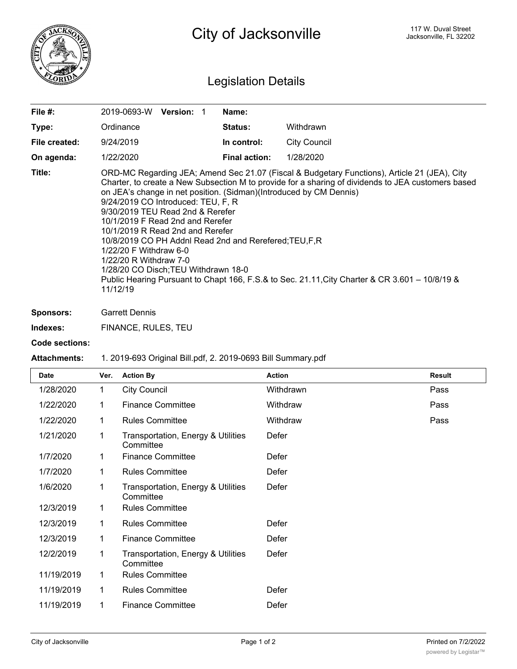

City of Jacksonville **City of Street** Jacksonville, FL 32202

## Legislation Details

| File $#$ :    | 2019-0693-W                                                                                                                                                                                                                                                                                                                                                                                                                                                                                                                                                                                                                                                                                     | <b>Version: 1</b> |  | Name:                |                     |  |  |
|---------------|-------------------------------------------------------------------------------------------------------------------------------------------------------------------------------------------------------------------------------------------------------------------------------------------------------------------------------------------------------------------------------------------------------------------------------------------------------------------------------------------------------------------------------------------------------------------------------------------------------------------------------------------------------------------------------------------------|-------------------|--|----------------------|---------------------|--|--|
| Type:         | Ordinance                                                                                                                                                                                                                                                                                                                                                                                                                                                                                                                                                                                                                                                                                       |                   |  | <b>Status:</b>       | Withdrawn           |  |  |
| File created: | 9/24/2019                                                                                                                                                                                                                                                                                                                                                                                                                                                                                                                                                                                                                                                                                       |                   |  | In control:          | <b>City Council</b> |  |  |
| On agenda:    | 1/22/2020                                                                                                                                                                                                                                                                                                                                                                                                                                                                                                                                                                                                                                                                                       |                   |  | <b>Final action:</b> | 1/28/2020           |  |  |
| Title:        | ORD-MC Regarding JEA; Amend Sec 21.07 (Fiscal & Budgetary Functions), Article 21 (JEA), City<br>Charter, to create a New Subsection M to provide for a sharing of dividends to JEA customers based<br>on JEA's change in net position. (Sidman)(Introduced by CM Dennis)<br>9/24/2019 CO Introduced: TEU, F, R<br>9/30/2019 TEU Read 2nd & Rerefer<br>10/1/2019 F Read 2nd and Rerefer<br>10/1/2019 R Read 2nd and Rerefer<br>10/8/2019 CO PH Addnl Read 2nd and Rerefered; TEU, F, R<br>1/22/20 F Withdraw 6-0<br>1/22/20 R Withdraw 7-0<br>1/28/20 CO Disch; TEU Withdrawn 18-0<br>Public Hearing Pursuant to Chapt 166, F.S.& to Sec. 21.11, City Charter & CR 3.601 - 10/8/19 &<br>11/12/19 |                   |  |                      |                     |  |  |

**Sponsors:** Garrett Dennis

**Indexes:** FINANCE, RULES, TEU

## **Code sections:**

## **Attachments:** 1. 2019-693 Original Bill.pdf, 2. 2019-0693 Bill Summary.pdf

| <b>Date</b> | Ver.         | <b>Action By</b>                                | <b>Action</b> | <b>Result</b> |
|-------------|--------------|-------------------------------------------------|---------------|---------------|
| 1/28/2020   | $\mathbf{1}$ | <b>City Council</b>                             | Withdrawn     | Pass          |
| 1/22/2020   | 1            | <b>Finance Committee</b>                        | Withdraw      | Pass          |
| 1/22/2020   | $\mathbf 1$  | <b>Rules Committee</b>                          | Withdraw      | Pass          |
| 1/21/2020   | 1            | Transportation, Energy & Utilities<br>Committee | Defer         |               |
| 1/7/2020    | 1            | <b>Finance Committee</b>                        | Defer         |               |
| 1/7/2020    | 1            | <b>Rules Committee</b>                          | Defer         |               |
| 1/6/2020    | 1            | Transportation, Energy & Utilities<br>Committee | Defer         |               |
| 12/3/2019   | 1            | <b>Rules Committee</b>                          |               |               |
| 12/3/2019   | 1            | <b>Rules Committee</b>                          | Defer         |               |
| 12/3/2019   | $\mathbf 1$  | <b>Finance Committee</b>                        | Defer         |               |
| 12/2/2019   | 1            | Transportation, Energy & Utilities<br>Committee | Defer         |               |
| 11/19/2019  | 1            | <b>Rules Committee</b>                          |               |               |
| 11/19/2019  | 1            | <b>Rules Committee</b>                          | Defer         |               |
| 11/19/2019  | 1            | <b>Finance Committee</b>                        | Defer         |               |